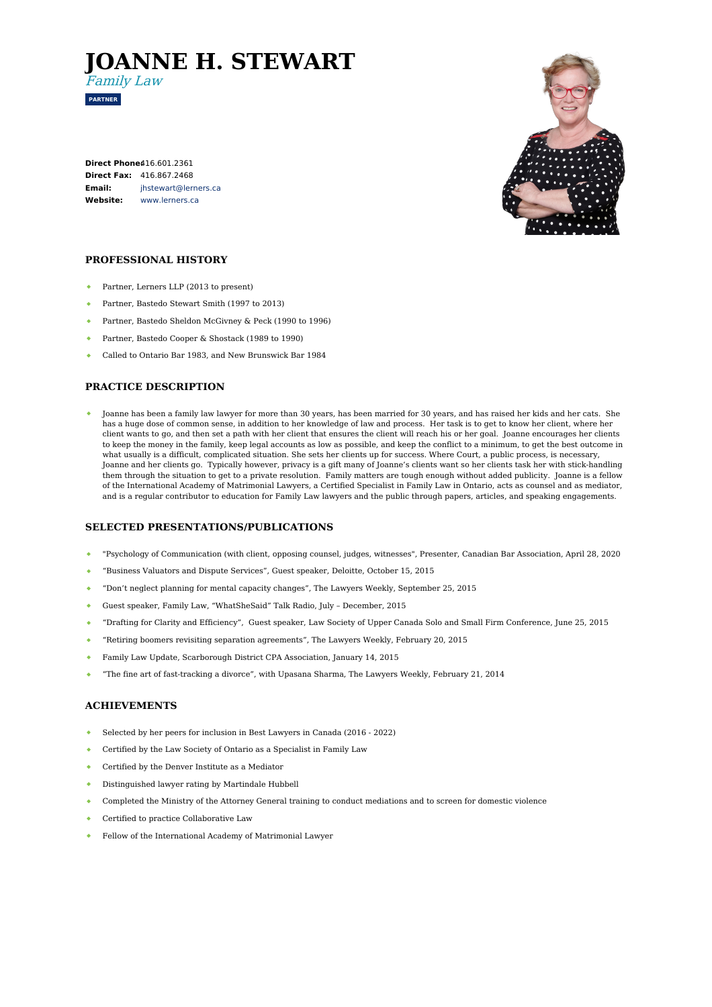# **JOANNE H. STEWART**



Family Law

**Direct Phone:** [416.601.2361](tel:416.601.2361) **Direct Fax:** 416.867.2468 **Email: Website:** [jhstewart@lerners.ca](mailto:jhstewart@lerners.ca) [www.lerners.ca](https://www.lerners.ca/)



## **PROFESSIONAL HISTORY**

- Partner, Lerners LLP (2013 to present)
- $\bullet$ Partner, Bastedo Stewart Smith (1997 to 2013)
- Partner, Bastedo Sheldon McGivney & Peck (1990 to 1996)
- $\bullet$ Partner, Bastedo Cooper & Shostack (1989 to 1990)
- Called to Ontario Bar 1983, and New Brunswick Bar 1984

## **PRACTICE DESCRIPTION**

Joanne has been a family law lawyer for more than 30 years, has been married for 30 years, and has raised her kids and her cats. She has a huge dose of common sense, in addition to her knowledge of law and process. Her task is to get to know her client, where her client wants to go, and then set a path with her client that ensures the client will reach his or her goal. Joanne encourages her clients to keep the money in the family, keep legal accounts as low as possible, and keep the conflict to a minimum, to get the best outcome in what usually is a difficult, complicated situation. She sets her clients up for success. Where Court, a public process, is necessary, Joanne and her clients go. Typically however, privacy is a gift many of Joanne's clients want so her clients task her with stick-handling them through the situation to get to a private resolution. Family matters are tough enough without added publicity. Joanne is a fellow of the International Academy of Matrimonial Lawyers, a Certified Specialist in Family Law in Ontario, acts as counsel and as mediator, and is a regular contributor to education for Family Law lawyers and the public through papers, articles, and speaking engagements.

#### **SELECTED PRESENTATIONS/PUBLICATIONS**

- "Psychology of Communication (with client, opposing counsel, judges, witnesses", Presenter, Canadian Bar Association, April 28, 2020
- "Business Valuators and Dispute Services", Guest speaker, Deloitte, October 15, 2015
- "Don't neglect planning for mental capacity changes", The Lawyers Weekly, September 25, 2015
- Guest speaker, Family Law, "WhatSheSaid" Talk Radio, July December, 2015  $\bullet$  .
- "Drafting for Clarity and Efficiency", Guest speaker, Law Society of Upper Canada Solo and Small Firm Conference, June 25, 2015
- "Retiring boomers revisiting separation agreements", The Lawyers Weekly, February 20, 2015
- Family Law Update, Scarborough District CPA Association, January 14, 2015
- "The fine art of fast-tracking a divorce", with Upasana Sharma, The Lawyers Weekly, February 21, 2014

#### **ACHIEVEMENTS**

- Selected by her peers for inclusion in Best Lawyers in Canada (2016 2022)
- Certified by the Law Society of Ontario as a Specialist in Family Law
- Certified by the Denver Institute as a Mediator
- Distinguished lawyer rating by Martindale Hubbell
- Completed the Ministry of the Attorney General training to conduct mediations and to screen for domestic violence
- Certified to practice Collaborative Law
- Fellow of the International Academy of Matrimonial Lawyer